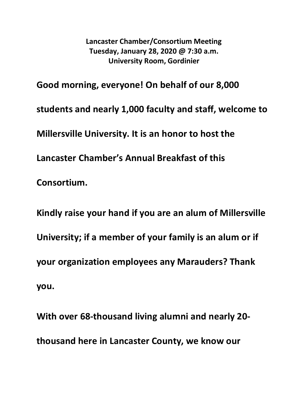**Lancaster Chamber/Consortium Meeting Tuesday, January 28, 2020 @ 7:30 a.m. University Room, Gordinier**

**Good morning, everyone! On behalf of our 8,000 students and nearly 1,000 faculty and staff, welcome to Millersville University. It is an honor to host the Lancaster Chamber's Annual Breakfast of this Consortium.**

**Kindly raise your hand if you are an alum of Millersville University; if a member of your family is an alum or if your organization employees any Marauders? Thank you.**

**With over 68-thousand living alumni and nearly 20 thousand here in Lancaster County, we know our**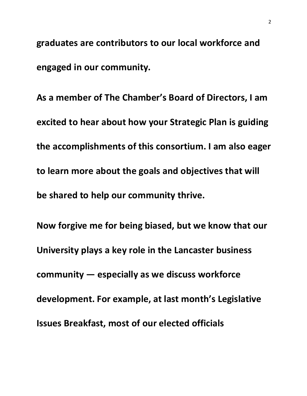**graduates are contributors to our local workforce and engaged in our community.**

**As a member of The Chamber's Board of Directors, I am excited to hear about how your Strategic Plan is guiding the accomplishments of this consortium. I am also eager to learn more about the goals and objectives that will be shared to help our community thrive.**

**Now forgive me for being biased, but we know that our University plays a key role in the Lancaster business community — especially as we discuss workforce development. For example, at last month's Legislative Issues Breakfast, most of our elected officials**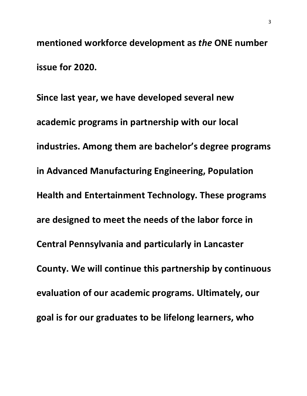**mentioned workforce development as** *the* **ONE number issue for 2020.**

**Since last year, we have developed several new academic programs in partnership with our local industries. Among them are bachelor's degree programs in Advanced Manufacturing Engineering, Population Health and Entertainment Technology. These programs are designed to meet the needs of the labor force in Central Pennsylvania and particularly in Lancaster County. We will continue this partnership by continuous evaluation of our academic programs. Ultimately, our goal is for our graduates to be lifelong learners, who**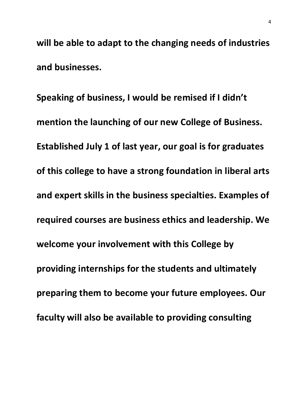**will be able to adapt to the changing needs of industries and businesses.** 

**Speaking of business, I would be remised if I didn't mention the launching of our new College of Business. Established July 1 of last year, our goal is for graduates of this college to have a strong foundation in liberal arts and expert skills in the business specialties. Examples of required courses are business ethics and leadership. We welcome your involvement with this College by providing internships for the students and ultimately preparing them to become your future employees. Our faculty will also be available to providing consulting**